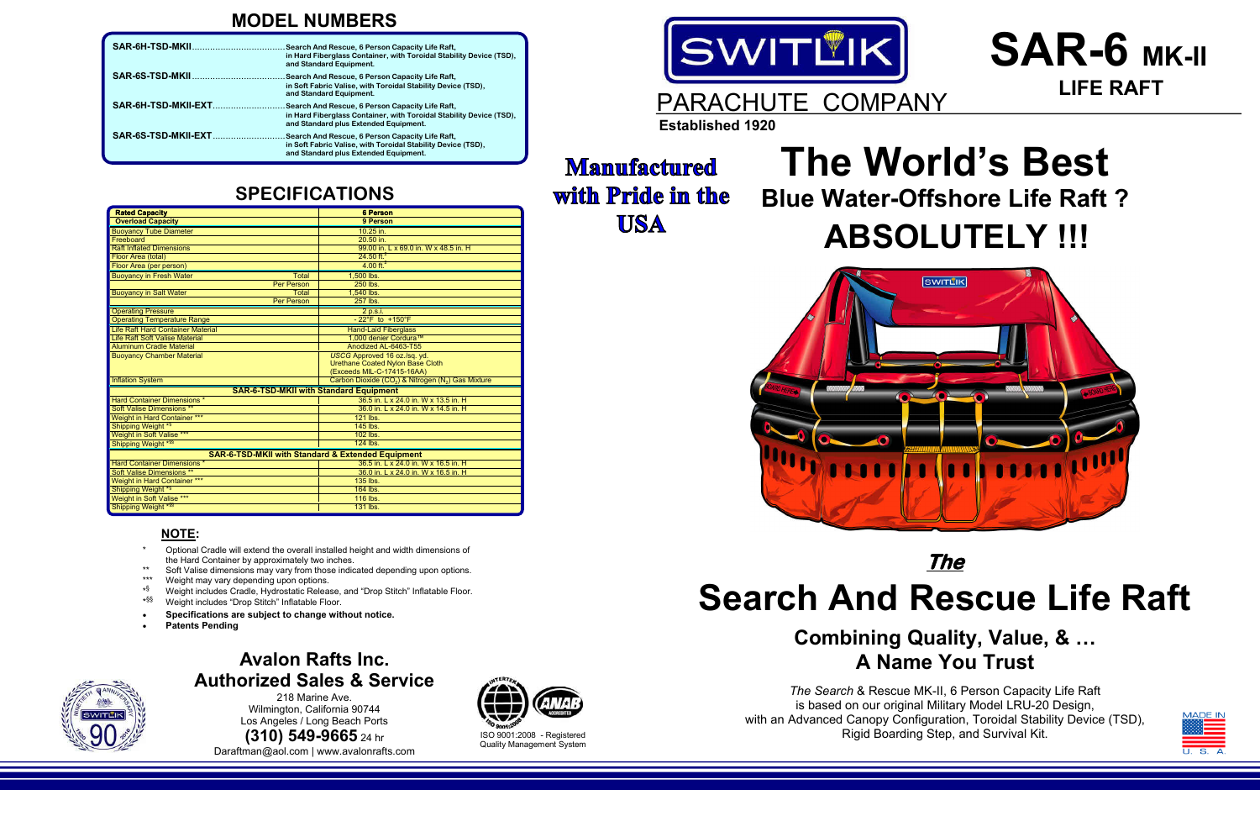# **The World's Best Blue Water-Offshore Life Raft ? ABSOLUTELY !!!**



## **MODEL NUMBERS**

| <b>Rated Capacity</b>                                        | <b>6 Person</b>                                                            |  |  |  |
|--------------------------------------------------------------|----------------------------------------------------------------------------|--|--|--|
| <b>Overload Capacity</b>                                     | 9 Person                                                                   |  |  |  |
| <b>Buoyancy Tube Diameter</b>                                | 10.25 in.                                                                  |  |  |  |
| Freeboard                                                    | 20.50 in.                                                                  |  |  |  |
| <b>Raft Inflated Dimensions</b>                              | 99.00 in. L x 69.0 in. W x 48.5 in. H                                      |  |  |  |
| Floor Area (total)                                           | $24.50$ ft. <sup>2</sup>                                                   |  |  |  |
| Floor Area (per person)                                      | $4.00$ ft. <sup>2</sup>                                                    |  |  |  |
| <b>Buoyancy in Fresh Water</b><br>Total                      | 1.500 lbs.                                                                 |  |  |  |
| <b>Per Person</b>                                            | 250 lbs.                                                                   |  |  |  |
| <b>Buoyancy in Salt Water</b><br><b>Total</b>                | 1.540 lbs.                                                                 |  |  |  |
| <b>Per Person</b>                                            | 257 lbs.                                                                   |  |  |  |
| <b>Operating Pressure</b>                                    | $2$ p.s.i.                                                                 |  |  |  |
| <b>Operating Temperature Range</b>                           | $-22^{\circ}$ F to $+150^{\circ}$ F                                        |  |  |  |
| Life Raft Hard Container Material                            | <b>Hand-Laid Fiberglass</b>                                                |  |  |  |
| <b>Life Raft Soft Valise Material</b>                        | 1.000 denier Cordura™                                                      |  |  |  |
| <b>Aluminum Cradle Material</b>                              | Anodized AL-6463-T55                                                       |  |  |  |
| <b>Buoyancy Chamber Material</b>                             | USCG Approved 16 oz./sq. yd.                                               |  |  |  |
|                                                              | Urethane Coated Nylon Base Cloth                                           |  |  |  |
|                                                              | (Exceeds MIL-C-17415-16AA)                                                 |  |  |  |
| <b>Inflation System</b>                                      | Carbon Dioxide (CO <sub>2</sub> ) & Nitrogen (N <sub>2</sub> ) Gas Mixture |  |  |  |
| <b>SAR-6-TSD-MKII with Standard Equipment</b>                |                                                                            |  |  |  |
| <b>Hard Container Dimensions *</b>                           | 36.5 in. L x 24.0 in. W x 13.5 in. H                                       |  |  |  |
| <b>Soft Valise Dimensions **</b>                             | 36.0 in. L x 24.0 in. W x 14.5 in. H                                       |  |  |  |
| <b>Weight in Hard Container ***</b>                          | 121 lbs.                                                                   |  |  |  |
| Shipping Weight *§                                           | 145 lbs.                                                                   |  |  |  |
| Weight in Soft Valise ***                                    | 102 lbs.                                                                   |  |  |  |
| Shipping Weight <sup>*§§</sup>                               | 124 lbs.                                                                   |  |  |  |
| <b>SAR-6-TSD-MKII with Standard &amp; Extended Equipment</b> |                                                                            |  |  |  |
| <b>Hard Container Dimensions *</b>                           | 36.5 in. L x 24.0 in. W x 16.5 in. H                                       |  |  |  |
| <b>Soft Valise Dimensions **</b>                             | 36.0 in. L x 24.0 in. W x 16.5 in. H                                       |  |  |  |
| Weight in Hard Container ***                                 | 135 lbs.                                                                   |  |  |  |
| Shipping Weight <sup>*§</sup>                                | 164 lbs.                                                                   |  |  |  |
| <b>Weight in Soft Valise ***</b>                             | 116 lbs.                                                                   |  |  |  |
| Shipping Weight * \$\$                                       | 131 lbs.                                                                   |  |  |  |

### **MANUFACTURE IN AMERICAN By Authorized Sales & Service Avalon Rafts Inc.**

## **NOTE:**

218 Marine Ave.<br>Wilmington, California 90744 **1325 East State State Street Trends**<br>Los Angeles / Long Beach Ports 218 Marine Ave.

**Phone: EAO OCCE (310) 549-9665** 24 hr **Rev: Nov. 2010** Daraftman@aol.com | www.avalonrafts.com



- **`** the Hard Container by approximately two inches. \* Optional Cradle will extend the overall installed height and width dimensions of
- Soft Valise dimensions may vary from those indicated depending upon options.
- Weight may vary depending upon options.
- \* § Weight includes Cradle, Hydrostatic Release, and "Drop Stitch" Inflatable Floor.
- $*$ §§ Weight includes "Drop Stitch" Inflatable Floor.
- Specifications are subject to change without notice.
- · **Patents Pending**



# **The Search And Rescue Life Raft**

# **Combining Quality, Value, & … A Name You Trust**

*The Search* & Rescue MK-II, 6 Person Capacity Life Raft is based on our original Military Model LRU-20 Design, with an Advanced Canopy Configuration, Toroidal Stability Device (TSD), Rigid Boarding Step, and Survival Kit.

# **SPECIFICATIONS**



# **SAR-6 MK-II LIFE RAFT**

|                     | . Search And Rescue, 6 Person Capacity Life Raft,<br>in Hard Fiberglass Container, with Toroidal Stability Device (TSD),<br>and Standard Equipment.               |
|---------------------|-------------------------------------------------------------------------------------------------------------------------------------------------------------------|
|                     | Search And Rescue, 6 Person Capacity Life Raft,<br>in Soft Fabric Valise, with Toroidal Stability Device (TSD),<br>and Standard Equipment.                        |
| SAR-6H-TSD-MKII-EXT | . Search And Rescue, 6 Person Capacity Life Raft,<br>in Hard Fiberglass Container, with Toroidal Stability Device (TSD),<br>and Standard plus Extended Equipment. |
| SAR-6S-TSD-MKII-EXT | Search And Rescue, 6 Person Capacity Life Raft,<br>in Soft Fabric Valise, with Toroidal Stability Device (TSD),<br>and Standard plus Extended Equipment.          |

ISO 9001:2008 - Registered Quality Management System

# **Manufactured with Pride in the USA**